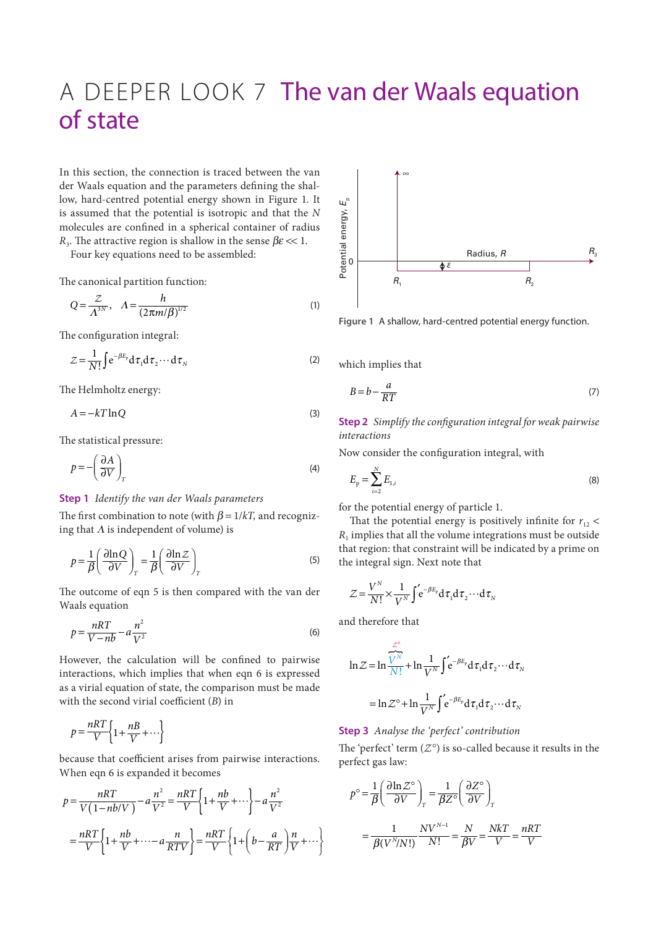## A DEEPER LOOK 7 The van der Waals equation of state

In this section, the connection is traced between the van der Waals equation and the parameters defining the shallow, hard-centred potential energy shown in Figure 1. It is assumed that the potential is isotropic and that the *N* molecules are confined in a spherical container of radius *R*<sub>3</sub>. The attractive region is shallow in the sense  $\beta \epsilon \ll 1$ .

Four key equations need to be assembled:

The canonical partition function:

$$
Q = \frac{Z}{\Lambda^{3N}}, \quad A = \frac{h}{(2\pi m/\beta)^{1/2}}
$$
 (1)

The configuration integral:

$$
Z = \frac{1}{N!} \int e^{-\beta E_p} d\tau_1 d\tau_2 \cdots d\tau_N
$$
 (2)

The Helmholtz energy:

$$
A = -kT \ln Q \tag{3}
$$

The statistical pressure:

$$
p = -\left(\frac{\partial A}{\partial V}\right)_T \tag{4}
$$

## **Step 1** *Identify the van der Waals parameters*

The first combination to note (with  $\beta = 1/kT$ , and recognizing that  $\Lambda$  is independent of volume) is

$$
p = \frac{1}{\beta} \left( \frac{\partial \ln Q}{\partial V} \right)_T = \frac{1}{\beta} \left( \frac{\partial \ln Z}{\partial V} \right)_T
$$
 (5)

The outcome of eqn 5 is then compared with the van der Waals equation

$$
p = \frac{nRT}{V - nb} - a\frac{n^2}{V^2}
$$
 (6)

However, the calculation will be confined to pairwise interactions, which implies that when eqn 6 is expressed as a virial equation of state, the comparison must be made with the second virial coefficient (*B*) in

$$
p = \frac{nRT}{V} \left\{ 1 + \frac{nB}{V} + \cdots \right\}
$$

because that coefficient arises from pairwise interactions. When eqn 6 is expanded it becomes

$$
p = \frac{nRT}{V(1 - nb/V)} - a\frac{n^2}{V^2} = \frac{nRT}{V} \left\{ 1 + \frac{nb}{V} + \cdots \right\} - a\frac{n^2}{V^2}
$$

$$
= \frac{nRT}{V} \left\{ 1 + \frac{nb}{V} + \cdots - a\frac{n}{RTV} \right\} = \frac{nRT}{V} \left\{ 1 + \left( b - \frac{a}{RT} \right) \frac{n}{V} + \cdots \right\}
$$



**Figure 1** A shallow, hard-centred potential energy function.

which implies that

$$
B = b - \frac{a}{RT}
$$
 (7)

**Step 2** *Simplify the configuration integral for weak pairwise interactions*

Now consider the configuration integral, with

$$
E_{\rm p} = \sum_{i=2}^{N} E_{1,i} \tag{8}
$$

for the potential energy of particle 1.

That the potential energy is positively infinite for  $r_{12}$  <  $R_1$  implies that all the volume integrations must be outside that region: that constraint will be indicated by a prime on the integral sign. Next note that

$$
Z = \frac{V^N}{N!} \times \frac{1}{V^N} \int_{0}^{t} e^{-\beta E_p} d\tau_1 d\tau_2 \cdots d\tau_N
$$

and therefore that

$$
\ln Z = \ln \frac{Z^{\circ}}{N!} + \ln \frac{1}{V^N} \int e^{-\beta E_p} d\tau_1 d\tau_2 \cdots d\tau_N
$$

$$
= \ln Z^{\circ} + \ln \frac{1}{V^N} \int e^{-\beta E_p} d\tau_1 d\tau_2 \cdots d\tau_N
$$

**Step 3** *Analyse the 'perfect' contribution*

The 'perfect' term  $(Z^{\circ})$  is so-called because it results in the perfect gas law:

$$
p^{\circ} = \frac{1}{\beta} \left( \frac{\partial \ln \mathcal{Z}^{\circ}}{\partial V} \right)_T = \frac{1}{\beta Z^{\circ}} \left( \frac{\partial Z^{\circ}}{\partial V} \right)_T
$$

$$
= \frac{1}{\beta (V^N / N!)} \frac{N V^{N-1}}{N!} = \frac{N}{\beta V} = \frac{N k T}{V} = \frac{n R T}{V}
$$